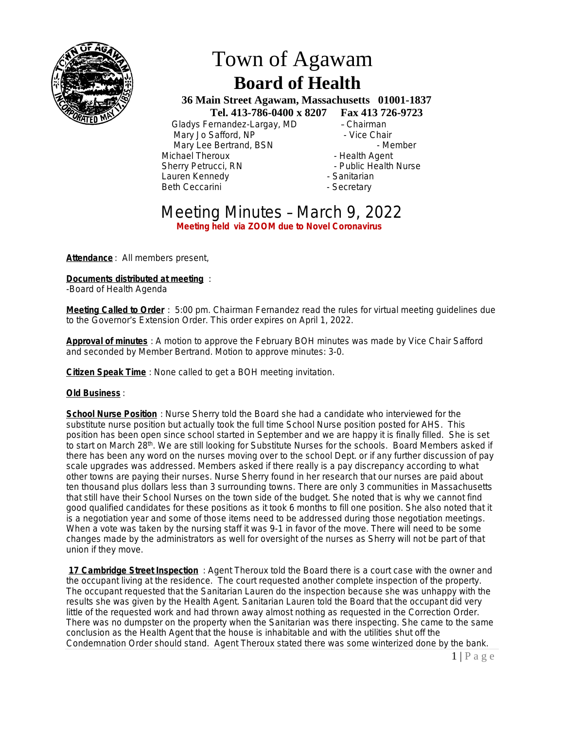

# Town of Agawam  **Board of Health**

 **36 Main Street Agawam, Massachusetts 01001-1837 Tel. 413-786-0400 x 8207 Fax 413 726-9723**

 Gladys Fernandez-Largay, MD – Chairman Mary Jo Safford, NP - Contract - Vice Chair Mary Lee Bertrand, BSN - Member Michael Theroux - All and the Health Agent<br>
Sherry Petrucci, RN - All and the Public Health Lauren Kennedy Beth Ceccarini **- Secretary** - Secretary

- 
- Public Health Nurse<br>- Sanitarian
- 
- 

# Meeting Minutes – March 9, 2022 **Meeting held via ZOOM due to Novel Coronavirus**

**Attendance** : All members present,

**Documents distributed at meeting** :

-Board of Health Agenda

**Meeting Called to Order** : 5:00 pm. Chairman Fernandez read the rules for virtual meeting guidelines due to the Governor's Extension Order. This order expires on April 1, 2022.

**Approval of minutes** : A motion to approve the February BOH minutes was made by Vice Chair Safford and seconded by Member Bertrand. Motion to approve minutes: 3-0.

**Citizen Speak Time** : None called to get a BOH meeting invitation.

#### **Old Business** :

**School Nurse Position** : Nurse Sherry told the Board she had a candidate who interviewed for the substitute nurse position but actually took the full time School Nurse position posted for AHS. This position has been open since school started in September and we are happy it is finally filled. She is set to start on March 28<sup>th</sup>. We are still looking for Substitute Nurses for the schools. Board Members asked if there has been any word on the nurses moving over to the school Dept. or if any further discussion of pay scale upgrades was addressed. Members asked if there really is a pay discrepancy according to what other towns are paying their nurses. Nurse Sherry found in her research that our nurses are paid about ten thousand plus dollars less than 3 surrounding towns. There are only 3 communities in Massachusetts that still have their School Nurses on the town side of the budget. She noted that is why we cannot find good qualified candidates for these positions as it took 6 months to fill one position. She also noted that it is a negotiation year and some of those items need to be addressed during those negotiation meetings. When a vote was taken by the nursing staff it was 9-1 in favor of the move. There will need to be some changes made by the administrators as well for oversight of the nurses as Sherry will not be part of that union if they move.

**17 Cambridge Street Inspection** : Agent Theroux told the Board there is a court case with the owner and the occupant living at the residence. The court requested another complete inspection of the property. The occupant requested that the Sanitarian Lauren do the inspection because she was unhappy with the results she was given by the Health Agent. Sanitarian Lauren told the Board that the occupant did very little of the requested work and had thrown away almost nothing as requested in the Correction Order. There was no dumpster on the property when the Sanitarian was there inspecting. She came to the same conclusion as the Health Agent that the house is inhabitable and with the utilities shut off the Condemnation Order should stand. Agent Theroux stated there was some winterized done by the bank.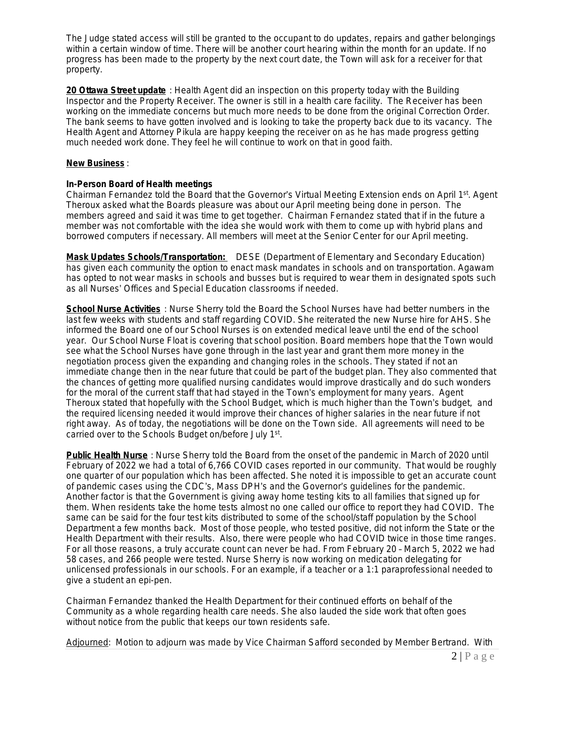The Judge stated access will still be granted to the occupant to do updates, repairs and gather belongings within a certain window of time. There will be another court hearing within the month for an update. If no progress has been made to the property by the next court date, the Town will ask for a receiver for that property.

**20 Ottawa Street update** : Health Agent did an inspection on this property today with the Building Inspector and the Property Receiver. The owner is still in a health care facility. The Receiver has been working on the immediate concerns but much more needs to be done from the original Correction Order. The bank seems to have gotten involved and is looking to take the property back due to its vacancy. The Health Agent and Attorney Pikula are happy keeping the receiver on as he has made progress getting much needed work done. They feel he will continue to work on that in good faith.

## **New Business** :

## **In-Person Board of Health meetings**

Chairman Fernandez told the Board that the Governor's Virtual Meeting Extension ends on April 1st. Agent Theroux asked what the Boards pleasure was about our April meeting being done in person. The members agreed and said it was time to get together. Chairman Fernandez stated that if in the future a member was not comfortable with the idea she would work with them to come up with hybrid plans and borrowed computers if necessary. All members will meet at the Senior Center for our April meeting.

**Mask Updates Schools/Transportation:** DESE (Department of Elementary and Secondary Education) has given each community the option to enact mask mandates in schools and on transportation. Agawam has opted to not wear masks in schools and busses but is required to wear them in designated spots such as all Nurses' Offices and Special Education classrooms if needed.

**School Nurse Activities** : Nurse Sherry told the Board the School Nurses have had better numbers in the last few weeks with students and staff regarding COVID. She reiterated the new Nurse hire for AHS. She informed the Board one of our School Nurses is on extended medical leave until the end of the school year. Our School Nurse Float is covering that school position. Board members hope that the Town would see what the School Nurses have gone through in the last year and grant them more money in the negotiation process given the expanding and changing roles in the schools. They stated if not an immediate change then in the near future that could be part of the budget plan. They also commented that the chances of getting more qualified nursing candidates would improve drastically and do such wonders for the moral of the current staff that had stayed in the Town's employment for many years. Agent Theroux stated that hopefully with the School Budget, which is much higher than the Town's budget, and the required licensing needed it would improve their chances of higher salaries in the near future if not right away. As of today, the negotiations will be done on the Town side. All agreements will need to be carried over to the Schools Budget on/before July 1<sup>st</sup>.

**Public Health Nurse** : Nurse Sherry told the Board from the onset of the pandemic in March of 2020 until February of 2022 we had a total of 6,766 COVID cases reported in our community. That would be roughly one quarter of our population which has been affected. She noted it is impossible to get an accurate count of pandemic cases using the CDC's, Mass DPH's and the Governor's guidelines for the pandemic. Another factor is that the Government is giving away home testing kits to all families that signed up for them. When residents take the home tests almost no one called our office to report they had COVID. The same can be said for the four test kits distributed to some of the school/staff population by the School Department a few months back. Most of those people, who tested positive, did not inform the State or the Health Department with their results. Also, there were people who had COVID twice in those time ranges. For all those reasons, a truly accurate count can never be had. From February 20 – March 5, 2022 we had 58 cases, and 266 people were tested. Nurse Sherry is now working on medication delegating for unlicensed professionals in our schools. For an example, if a teacher or a 1:1 paraprofessional needed to give a student an epi-pen.

Chairman Fernandez thanked the Health Department for their continued efforts on behalf of the Community as a whole regarding health care needs. She also lauded the side work that often goes without notice from the public that keeps our town residents safe.

Adjourned: Motion to adjourn was made by Vice Chairman Safford seconded by Member Bertrand. With